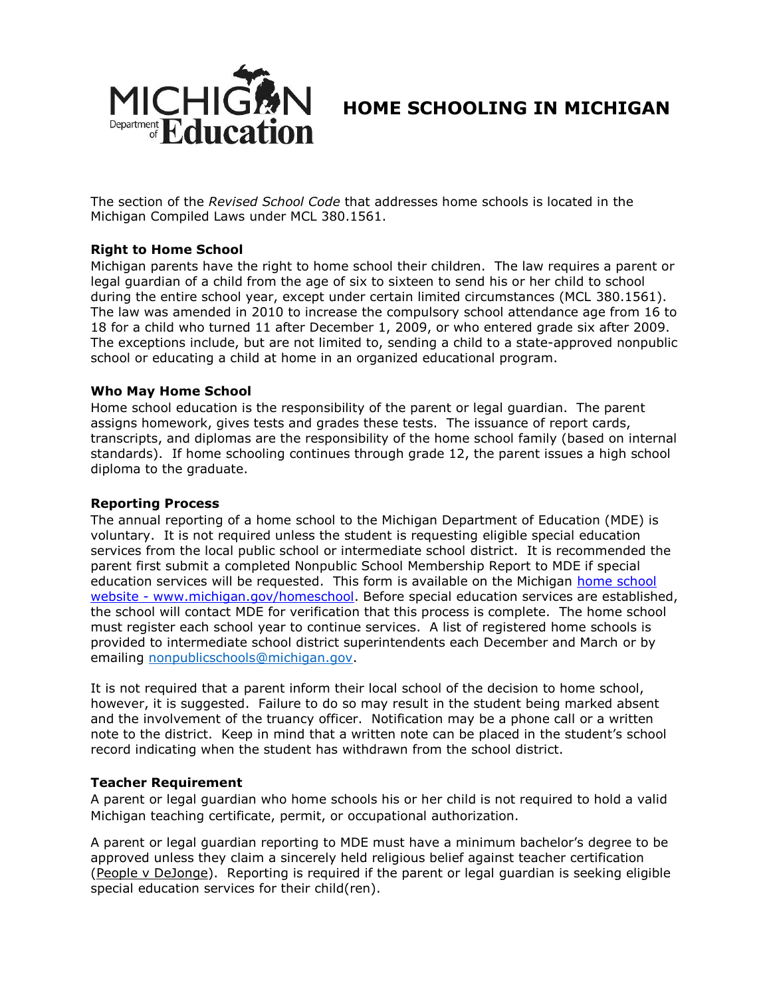

# **HOME SCHOOLING IN MICHIGAN**

The section of the *Revised School Code* that addresses home schools is located in the Michigan Compiled Laws under MCL 380.1561.

## **Right to Home School**

Michigan parents have the right to home school their children. The law requires a parent or legal guardian of a child from the age of six to sixteen to send his or her child to school during the entire school year, except under certain limited circumstances (MCL 380.1561). The law was amended in 2010 to increase the compulsory school attendance age from 16 to 18 for a child who turned 11 after December 1, 2009, or who entered grade six after 2009. The exceptions include, but are not limited to, sending a child to a state-approved nonpublic school or educating a child at home in an organized educational program.

## **Who May Home School**

Home school education is the responsibility of the parent or legal guardian. The parent assigns homework, gives tests and grades these tests. The issuance of report cards, transcripts, and diplomas are the responsibility of the home school family (based on internal standards). If home schooling continues through grade 12, the parent issues a high school diploma to the graduate.

## **Reporting Process**

The annual reporting of a home school to the Michigan Department of Education (MDE) is voluntary. It is not required unless the student is requesting eligible special education services from the local public school or intermediate school district. It is recommended the parent first submit a completed Nonpublic School Membership Report to MDE if special education services will be requested. This form is available on the Michigan [home school](http://www.michigan.gov/homeschool)  website - [www.michigan.gov/homeschool.](http://www.michigan.gov/homeschool) Before special education services are established, the school will contact MDE for verification that this process is complete. The home school must register each school year to continue services. A list of registered home schools is provided to intermediate school district superintendents each December and March or by emailing [nonpublicschools@michigan.gov.](mailto:nonpublicschools@michigan.gov)

It is not required that a parent inform their local school of the decision to home school, however, it is suggested. Failure to do so may result in the student being marked absent and the involvement of the truancy officer. Notification may be a phone call or a written note to the district. Keep in mind that a written note can be placed in the student's school record indicating when the student has withdrawn from the school district.

## **Teacher Requirement**

A parent or legal guardian who home schools his or her child is not required to hold a valid Michigan teaching certificate, permit, or occupational authorization.

A parent or legal guardian reporting to MDE must have a minimum bachelor's degree to be approved unless they claim a sincerely held religious belief against teacher certification (People v DeJonge). Reporting is required if the parent or legal guardian is seeking eligible special education services for their child(ren).